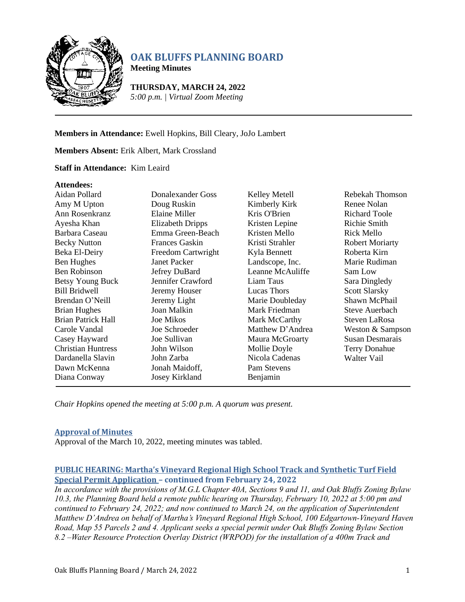

# **OAK BLUFFS PLANNING BOARD**

**Meeting Minutes**

**THURSDAY, MARCH 24, 2022** *5:00 p.m. | Virtual Zoom Meeting*

# **Members in Attendance:** Ewell Hopkins, Bill Cleary, JoJo Lambert

# **Members Absent:** Erik Albert, Mark Crossland

# **Staff in Attendance:** Kim Leaird

#### **Attendees:**

| Aidan Pollard             | Donalexander Goss       | Kelley Metell    | Rebekah Thomson        |
|---------------------------|-------------------------|------------------|------------------------|
| Amy M Upton               | Doug Ruskin             | Kimberly Kirk    | Renee Nolan            |
| Ann Rosenkranz            | Elaine Miller           | Kris O'Brien     | <b>Richard Toole</b>   |
| Ayesha Khan               | <b>Elizabeth Dripps</b> | Kristen Lepine   | Richie Smith           |
| Barbara Caseau            | Emma Green-Beach        | Kristen Mello    | Rick Mello             |
| <b>Becky Nutton</b>       | Frances Gaskin          | Kristi Strahler  | <b>Robert Moriarty</b> |
| Beka El-Deiry             | Freedom Cartwright      | Kyla Bennett     | Roberta Kirn           |
| <b>Ben Hughes</b>         | <b>Janet Packer</b>     | Landscope, Inc.  | Marie Rudiman          |
| <b>Ben Robinson</b>       | Jefrey DuBard           | Leanne McAuliffe | Sam Low                |
| Betsy Young Buck          | Jennifer Crawford       | Liam Taus        | Sara Dingledy          |
| <b>Bill Bridwell</b>      | Jeremy Houser           | Lucas Thors      | <b>Scott Slarsky</b>   |
| Brendan O'Neill           | Jeremy Light            | Marie Doubleday  | Shawn McPhail          |
| <b>Brian Hughes</b>       | Joan Malkin             | Mark Friedman    | Steve Auerbach         |
| <b>Brian Patrick Hall</b> | <b>Joe Mikos</b>        | Mark McCarthy    | Steven LaRosa          |
| Carole Vandal             | Joe Schroeder           | Matthew D'Andrea | Weston & Sampson       |
| Casey Hayward             | Joe Sullivan            | Maura McGroarty  | Susan Desmarais        |
| <b>Christian Huntress</b> | John Wilson             | Mollie Doyle     | <b>Terry Donahue</b>   |
| Dardanella Slavin         | John Zarba              | Nicola Cadenas   | Walter Vail            |
| Dawn McKenna              | Jonah Maidoff,          | Pam Stevens      |                        |
| Diana Conway              | Josey Kirkland          | Benjamin         |                        |

*Chair Hopkins opened the meeting at 5:00 p.m. A quorum was present.*

# **Approval of Minutes**

Approval of the March 10, 2022, meeting minutes was tabled.

# **PUBLIC HEARING: Martha's Vineyard Regional High School Track and Synthetic Turf Field Special Permit Application – continued from February 24, 2022**

*In accordance with the provisions of M.G.L Chapter 40A, Sections 9 and 11, and Oak Bluffs Zoning Bylaw 10.3, the Planning Board held a remote public hearing on Thursday, February 10, 2022 at 5:00 pm and continued to February 24, 2022; and now continued to March 24, on the application of Superintendent Matthew D'Andrea on behalf of Martha's Vineyard Regional High School, 100 Edgartown-Vineyard Haven Road, Map 55 Parcels 2 and 4. Applicant seeks a special permit under Oak Bluffs Zoning Bylaw Section 8.2 –Water Resource Protection Overlay District (WRPOD) for the installation of a 400m Track and*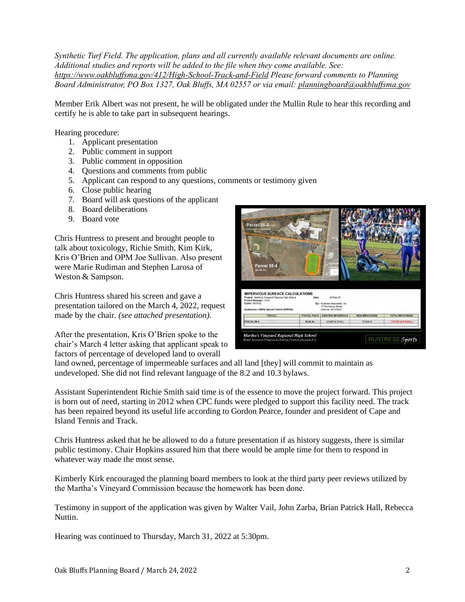*Synthetic Turf Field. The application, plans and all currently available relevant documents are online. Additional studies and reports will be added to the file when they come available. See: <https://www.oakbluffsma.gov/412/High-School-Track-and-Field> Please forward comments to Planning Board Administrator, PO Box 1327, Oak Bluffs, MA 02557 or via email: [planningboard@oakbluffsma.gov](mailto:planningboard@oakbluffsma.gov)*

Member Erik Albert was not present, he will be obligated under the Mullin Rule to hear this recording and certify he is able to take part in subsequent hearings.

Hearing procedure:

- 1. Applicant presentation
- 2. Public comment in support
- 3. Public comment in opposition
- 4. Questions and comments from public
- 5. Applicant can respond to any questions, comments or testimony given
- 6. Close public hearing
- 7. Board will ask questions of the applicant
- 8. Board deliberations
- 9. Board vote

Chris Huntress to present and brought people to talk about toxicology, Richie Smith, Kim Kirk, Kris O'Brien and OPM Joe Sullivan. Also present were Marie Rudiman and Stephen Larosa of Weston & Sampson.

Chris Huntress shared his screen and gave a presentation tailored on the March 4, 2022, request made by the chair. *(see attached presentation).*

After the presentation, Kris O'Brien spoke to the chair's March 4 letter asking that applicant speak to factors of percentage of developed land to overall

| Parcel 55-2<br>(no work proposed)                                                                                                                                              |                    |                                                                                        |                       |                         |
|--------------------------------------------------------------------------------------------------------------------------------------------------------------------------------|--------------------|----------------------------------------------------------------------------------------|-----------------------|-------------------------|
| <b>Common Fis</b>                                                                                                                                                              |                    |                                                                                        |                       |                         |
| Parcel 55-<br>36.48 Ac                                                                                                                                                         |                    | ÷.                                                                                     |                       |                         |
| <b>IMPERVIOUS SURFACE CALCULATIONS</b><br>Project: Martha's Vineyard Regional High School<br>Project Manager: CCH<br>Client: MVRHS<br>Application: OBPB Special Permit (WRPOD) | Date:              | 24-Mar-22<br>By: Huntress Associates, Inc.<br>17 Tewksbury Street<br>Andover, MA 01810 |                       |                         |
| <b>PARCEL</b>                                                                                                                                                                  | <b>PARCEL AREA</b> | <b>EXISTING IMPERVIOUS</b>                                                             | <b>NEW IMPERVIOUS</b> | <b>TOTAL IMPERVIOUS</b> |

land owned, percentage of impermeable surfaces and all land [they] will commit to maintain as undeveloped. She did not find relevant language of the 8.2 and 10.3 bylaws.

Assistant Superintendent Richie Smith said time is of the essence to move the project forward. This project is born out of need, starting in 2012 when CPC funds were pledged to support this facility need. The track has been repaired beyond its useful life according to Gordon Pearce, founder and president of Cape and Island Tennis and Track.

Chris Huntress asked that he be allowed to do a future presentation if as history suggests, there is similar public testimony. Chair Hopkins assured him that there would be ample time for them to respond in whatever way made the most sense.

Kimberly Kirk encouraged the planning board members to look at the third party peer reviews utilized by the Martha's Vineyard Commission because the homework has been done.

Testimony in support of the application was given by Walter Vail, John Zarba, Brian Patrick Hall, Rebecca Nuttin.

Hearing was continued to Thursday, March 31, 2022 at 5:30pm.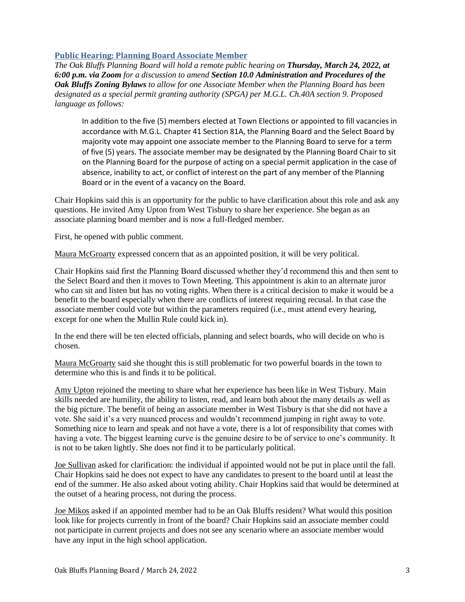# **Public Hearing: Planning Board Associate Member**

*The Oak Bluffs Planning Board will hold a remote public hearing on Thursday, March 24, 2022, at 6:00 p.m. via Zoom for a discussion to amend Section 10.0 Administration and Procedures of the Oak Bluffs Zoning Bylaws to allow for one Associate Member when the Planning Board has been designated as a special permit granting authority (SPGA) per M.G.L. Ch.40A section 9. Proposed language as follows:*

In addition to the five (5) members elected at Town Elections or appointed to fill vacancies in accordance with M.G.L. Chapter 41 Section 81A, the Planning Board and the Select Board by majority vote may appoint one associate member to the Planning Board to serve for a term of five (5) years. The associate member may be designated by the Planning Board Chair to sit on the Planning Board for the purpose of acting on a special permit application in the case of absence, inability to act, or conflict of interest on the part of any member of the Planning Board or in the event of a vacancy on the Board.

Chair Hopkins said this is an opportunity for the public to have clarification about this role and ask any questions. He invited Amy Upton from West Tisbury to share her experience. She began as an associate planning board member and is now a full-fledged member.

First, he opened with public comment.

Maura McGroarty expressed concern that as an appointed position, it will be very political.

Chair Hopkins said first the Planning Board discussed whether they'd recommend this and then sent to the Select Board and then it moves to Town Meeting. This appointment is akin to an alternate juror who can sit and listen but has no voting rights. When there is a critical decision to make it would be a benefit to the board especially when there are conflicts of interest requiring recusal. In that case the associate member could vote but within the parameters required (i.e., must attend every hearing, except for one when the Mullin Rule could kick in).

In the end there will be ten elected officials, planning and select boards, who will decide on who is chosen.

Maura McGroarty said she thought this is still problematic for two powerful boards in the town to determine who this is and finds it to be political.

Amy Upton rejoined the meeting to share what her experience has been like in West Tisbury. Main skills needed are humility, the ability to listen, read, and learn both about the many details as well as the big picture. The benefit of being an associate member in West Tisbury is that she did not have a vote. She said it's a very nuanced process and wouldn't recommend jumping in right away to vote. Something nice to learn and speak and not have a vote, there is a lot of responsibility that comes with having a vote. The biggest learning curve is the genuine desire to be of service to one's community. It is not to be taken lightly. She does not find it to be particularly political.

Joe Sullivan asked for clarification: the individual if appointed would not be put in place until the fall. Chair Hopkins said he does not expect to have any candidates to present to the board until at least the end of the summer. He also asked about voting ability. Chair Hopkins said that would be determined at the outset of a hearing process, not during the process.

Joe Mikos asked if an appointed member had to be an Oak Bluffs resident? What would this position look like for projects currently in front of the board? Chair Hopkins said an associate member could not participate in current projects and does not see any scenario where an associate member would have any input in the high school application.